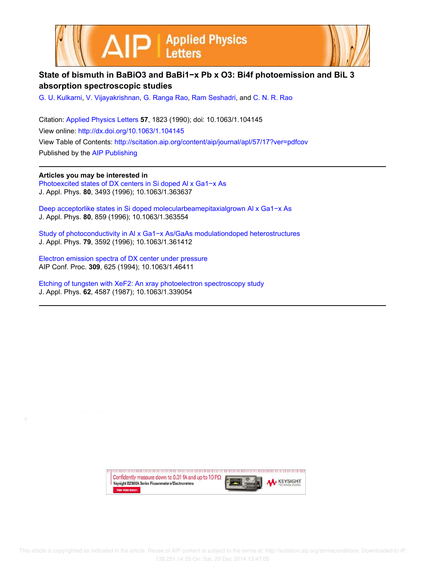



## **State of bismuth in BaBiO3 and BaBi1−x Pb x O3: Bi4f photoemission and BiL 3 absorption spectroscopic studies**

G. U. Kulkarni, V. Vijayakrishnan, G. Ranga Rao, Ram Seshadri, and C. N. R. Rao

Citation: Applied Physics Letters **57**, 1823 (1990); doi: 10.1063/1.104145 View online: http://dx.doi.org/10.1063/1.104145 View Table of Contents: http://scitation.aip.org/content/aip/journal/apl/57/17?ver=pdfcov Published by the AIP Publishing

**Articles you may be interested in**

Photoexcited states of DX centers in Si doped Al x Ga1−x As J. Appl. Phys. **80**, 3493 (1996); 10.1063/1.363637

Deep acceptorlike states in Si doped molecularbeamepitaxialgrown Al x Ga1−x As J. Appl. Phys. **80**, 859 (1996); 10.1063/1.363554

Study of photoconductivity in Al x Ga1−x As/GaAs modulationdoped heterostructures J. Appl. Phys. **79**, 3592 (1996); 10.1063/1.361412

Electron emission spectra of DX center under pressure AIP Conf. Proc. **309**, 625 (1994); 10.1063/1.46411

Etching of tungsten with XeF2: An xray photoelectron spectroscopy study J. Appl. Phys. **62**, 4587 (1987); 10.1063/1.339054

> Confidently measure down to 0.01 fA and up to 10 PΩ **KEYSIGHT** Keysight B2980A Series Picoammeters/Electrometers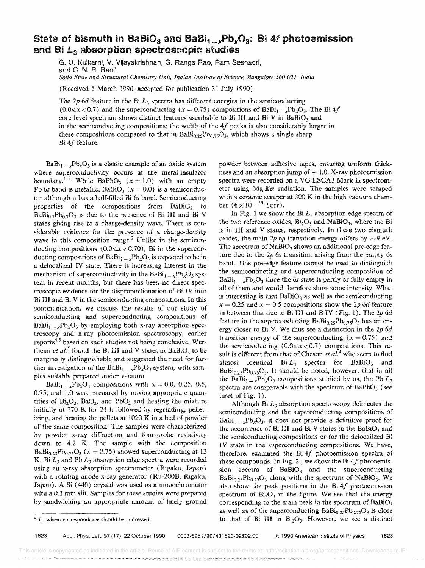## State of bismuth in BaBiO<sub>3</sub> and BaBi<sub>1\_x</sub>Pb<sub>x</sub>O<sub>3</sub>: Bi 4f photoemission and Bi  $L_3$  absorption spectroscopic studies

G. U. Kulkarni, V. Vijayakrishnan, G. Ranga Rao, Ram Seshadri, and C. N. R. Rao<sup>a)</sup> *Solid State and Structural Chemistry Unit, Indian Institute of Science, Bangalore 560 021, India* 

(Received 5 March 1990; accepted for publication 31 July 1990)

The 2p 6d feature in the Bi  $L_3$  spectra has different energies in the semiconducting  $(0.0 \le x < 0.7)$  and the superconducting  $(x = 0.75)$  compositions of BaBi<sub>1</sub><sub>1</sub>  $_x$ Pb<sub>x</sub>O<sub>3</sub>. The Bi 4f core level spectrum shows distinct features ascribable to Bi III and Bi V in BaBiO<sub>3</sub> and in the semiconducting compositions; the width of the  $4f$  peaks is also considerably larger in these compositions compared to that in  $BaBi_{0.25}Pb_{0.75}O_3$ , which shows a single sharp Bi 4f feature.

 $BaBi_1 \dots xPb_xO_3$  is a classic example of an oxide system where superconductivity occurs at the metal-insulator boundary.<sup>1-3</sup> While BaPbO<sub>3</sub> ( $x = 1.0$ ) with an empty Pb 6s band is metallic, BaBiO<sub>3</sub> ( $x = 0.0$ ) is a semiconductor although it has a half-filled Bi 6s band. Semiconducting properties of the compositions from  $BaBiO<sub>3</sub>$  to  $BaBi<sub>0.7</sub>Pb<sub>0.7</sub>O<sub>3</sub>$  is due to the presence of Bi III and Bi V states giving rise to a charge-density wave. There is considerable evidence for the presence of a charge-density wave in this composition range.<sup>2</sup> Unlike in the semiconducting compositions ( $0.0 \le x < 0.70$ ), Bi in the superconducting compositions of BaBi<sub>1</sub> \_  $_xPb_xO_3$  is expected to be in a delocalized IV state. There is increasing interest in the mechanism of superconductivity in the BaBi $_{1-x}Pb_xO_3$  system in recent months, but there has been no direct spectroscopic evidence for the disproportionation of Bi IV into Bi III and Bi V in the semiconducting compositions. In this communication, we discuss the results of our study of semiconducting and superconducting compositions of  $BaBi_1\_\text{x}Pb_xO_3$  by employing both x-ray absorption spectroscopy and x-ray photoemission spectroscopy, earlier reports<sup>4,5</sup> based on such studies not being conclusive. Wertheim *et al.*<sup>5</sup> found the Bi III and V states in BaBiO<sub>3</sub> to be marginally distinguishable and suggested the need for further investigation of the BaBi<sub>1 - x</sub>Pb<sub>x</sub>O<sub>3</sub> system, with samples suitably prepared under vacuum.

 $BaBi_{1-x}Pb_xO_3$  compositions with  $x = 0.0, 0.25, 0.5,$ 0.75, and 1.0 were prepared by mixing appropriate quantities of  $Bi_2O_3$ ,  $BaO_2$ , and  $PbO_2$  and heating the mixture initially at 770 K for 24 h followed by regrinding, pelletizing, and heating the pellets at 1020 K in a bed of powder of the same composition. The samples were characterized by powder x-ray diffraction and four-probe resistivity down to 4.2 K. The sample with the composition  $BaBi<sub>0.25</sub>Pb<sub>0.75</sub>O<sub>3</sub>$  (x = 0.75) showed superconducting at 12 K. Bi  $L_3$  and Pb  $L_3$  absorption edge spectra were recorded using an x-ray absorption spectrometer (Rigaku, Japan) with a rotating anode x-ray generator (Ru-200B, Rigaku, Japan). A Si (440) crystal was used as a monochromator with a 0.1 mm slit. Samples for these studies were prepared by sandwiching an appropriate amount of finely ground

powder between adhesive tapes, ensuring uniform thickness and an absorption jump of  $\sim$  1.0. X-ray photoemission spectra were recorded on a VG ESCA3 Mark II spectrometer using Mg  $K\alpha$  radiation. The samples were scraped with a ceramic scraper at 300 K in the high vacuum chamber  $(6 \times 10^{-10} \text{ Torr})$ .

In Fig. 1 we show the Bi *L3* absorption edge spectra of the two reference oxides,  $Bi_2O_3$  and NaBiO<sub>3</sub>, where the Bi is in III and V states, respectively. In these two bismuth oxides, the main 2p 6p transition energy differs by  $\sim$ 9 eV. The spectrum of  $Nabio<sub>3</sub>$  shows an additional pre-edge feature due to the *2p* 6s transition arising from the empty 6s band. This pre-edge feature cannot be used to distinguish the semiconducting and superconducting composition of  $BaBi_1 = xPb_xO_3$  since the 6s state is partly or fully empty in all of them and would therefore show some intensity. What is interesting is that  $BaBiO<sub>3</sub>$  as well as the semiconducting  $x = 0.25$  and  $x = 0.5$  compositions show the 2p 6d feature in between that due to Bi III and B IV (Fig. 1). The 2p 6d feature in the superconducting  $Babi_{0.25}Pb_{0.75}O_3$  has an energy closer to Bi V. We thus see a distinction in the *2p 6d*  transition energy of the superconducting  $(x = 0.75)$  and the semiconducting  $(0.0 \le x < 0.7)$  compositions. This result is different from that of Cheson *et al.*<sup>4</sup> who seem to find almost identical  $Bi L_3$  spectra for  $BaBiO_3$  and  $BaBi<sub>0.25</sub>Pb<sub>0.75</sub>O<sub>3</sub>$ . It should be noted, however, that in all the BaBi<sub>1 - *x*</sub>Pb<sub>x</sub>O<sub>3</sub> compositions studied by us, the Pb  $L_3$ spectra are comparable with the spectrum of  $BaPbO<sub>3</sub>$  (see inset of Fig. 1).

Although Bi *L3* absorption spectroscopy delineates the semiconducting and the superconducting compositions of  $BaBi_{1...x}Pb_xO_3$ , it does not provide a definitive proof for the occurrence of Bi III and Bi V states in the BaBi $O_3$  and the semiconducting compositions or for the delocalized Bi IV state in the superconducting compositions. We have, therefore, examined the  $Bi\ 4f$  photoemission spectra of these compounds. In Fig. 2, we show the Bi  $4f$  photoemission spectra of  $BaBiO<sub>3</sub>$  and the superconducting  $BaBi<sub>0.25</sub>Pb<sub>0.75</sub>O<sub>3</sub>$  along with the spectrum of NaBiO<sub>3</sub>. We also show the peak positions in the Bi  $4f$  photoemission spectrum of  $Bi<sub>2</sub>O<sub>3</sub>$  in the figure. We see that the energy corresponding to the main peak in the spectrum of  $BaBiO<sub>3</sub>$ as well as of the superconducting  $BaBi_{0.25}Pb_{0.75}O_3$  is close to that of Bi III in  $Bi<sub>2</sub>O<sub>3</sub>$ . However, we see a distinct

a)To whom correspondence should be addressed.